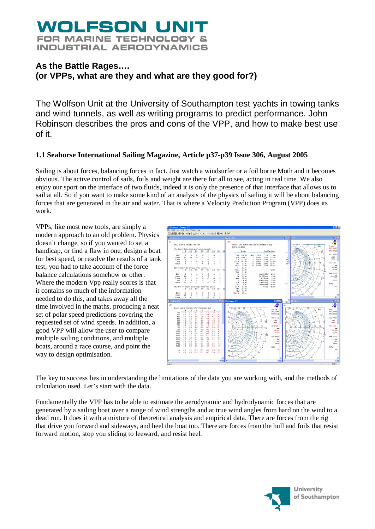## WOLFSON UN **FOR MARINE TECHNOLOGY & INDUSTRIAL AERODYNAMICS**

## **As the Battle Rages…. (or VPPs, what are they and what are they good for?)**

The Wolfson Unit at the University of Southampton test yachts in towing tanks and wind tunnels, as well as writing programs to predict performance. John Robinson describes the pros and cons of the VPP, and how to make best use of it.

## **1.1 Seahorse International Sailing Magazine, Article p37-p39 Issue 306, August 2005**

Sailing is about forces, balancing forces in fact. Just watch a windsurfer or a foil borne Moth and it becomes obvious. The active control of sails, foils and weight are there for all to see, acting in real time. We also enjoy our sport on the interface of two fluids, indeed it is only the presence of that interface that allows us to sail at all. So if you want to make some kind of an analysis of the physics of sailing it will be about balancing forces that are generated in the air and water. That is where a Velocity Prediction Program (VPP) does its work.

VPPs, like most new tools, are simply a modern approach to an old problem. Physics doesn't change, so if you wanted to set a handicap, or find a flaw in one, design a boat for best speed, or resolve the results of a tank test, you had to take account of the force balance calculations somehow or other. Where the modern Vpp really scores is that it contains so much of the information needed to do this, and takes away all the time involved in the maths, producing a neat set of polar speed predictions covering the requested set of wind speeds. In addition, a good VPP will allow the user to compare multiple sailing conditions, and multiple boats, around a race course, and point the way to design optimisation.



The key to success lies in understanding the limitations of the data you are working with, and the methods of calculation used. Let's start with the data.

Fundamentally the VPP has to be able to estimate the aerodynamic and hydrodynamic forces that are generated by a sailing boat over a range of wind strengths and at true wind angles from hard on the wind to a dead run. It does it with a mixture of theoretical analysis and empirical data. There are forces from the rig that drive you forward and sideways, and heel the boat too. There are forces from the hull and foils that resist forward motion, stop you sliding to leeward, and resist heel.

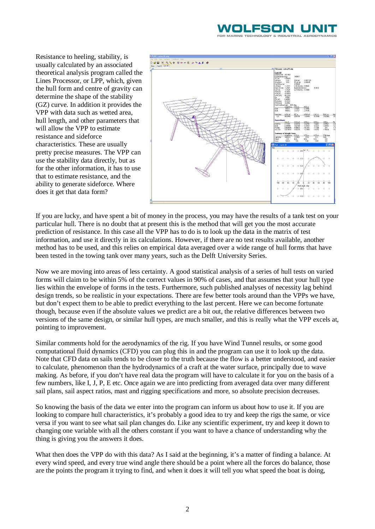## VOLFSON L

Resistance to heeling, stability, is usually calculated by an associated theoretical analysis program called the Lines Processor, or LPP, which, given the hull form and centre of gravity can determine the shape of the stability (GZ) curve. In addition it provides the VPP with data such as wetted area, hull length, and other parameters that will allow the VPP to estimate resistance and sideforce characteristics. These are usually pretty precise measures. The VPP can use the stability data directly, but as for the other information, it has to use that to estimate resistance, and the ability to generate sideforce. Where does it get that data form?



If you are lucky, and have spent a bit of money in the process, you may have the results of a tank test on your particular hull. There is no doubt that at present this is the method that will get you the most accurate prediction of resistance. In this case all the VPP has to do is to look up the data in the matrix of test information, and use it directly in its calculations. However, if there are no test results available, another method has to be used, and this relies on empirical data averaged over a wide range of hull forms that have been tested in the towing tank over many years, such as the Delft University Series.

Now we are moving into areas of less certainty. A good statistical analysis of a series of hull tests on varied forms will claim to be within 5% of the correct values in 90% of cases, and that assumes that your hull type lies within the envelope of forms in the tests. Furthermore, such published analyses of necessity lag behind design trends, so be realistic in your expectations. There are few better tools around than the VPPs we have, but don't expect them to be able to predict everything to the last percent. Here we can become fortunate though, because even if the absolute values we predict are a bit out, the relative differences between two versions of the same design, or similar hull types, are much smaller, and this is really what the VPP excels at, pointing to improvement.

Similar comments hold for the aerodynamics of the rig. If you have Wind Tunnel results, or some good computational fluid dynamics (CFD) you can plug this in and the program can use it to look up the data. Note that CFD data on sails tends to be closer to the truth because the flow is a better understood, and easier to calculate, phenomenon than the hydrodynamics of a craft at the water surface, principally due to wave making. As before, if you don't have real data the program will have to calculate it for you on the basis of a few numbers, like I, J, P, E etc. Once again we are into predicting from averaged data over many different sail plans, sail aspect ratios, mast and rigging specifications and more, so absolute precision decreases.

So knowing the basis of the data we enter into the program can inform us about how to use it. If you are looking to compare hull characteristics, it's probably a good idea to try and keep the rigs the same, or vice versa if you want to see what sail plan changes do. Like any scientific experiment, try and keep it down to changing one variable with all the others constant if you want to have a chance of understanding why the thing is giving you the answers it does.

What then does the VPP do with this data? As I said at the beginning, it's a matter of finding a balance. At every wind speed, and every true wind angle there should be a point where all the forces do balance, those are the points the program it trying to find, and when it does it will tell you what speed the boat is doing,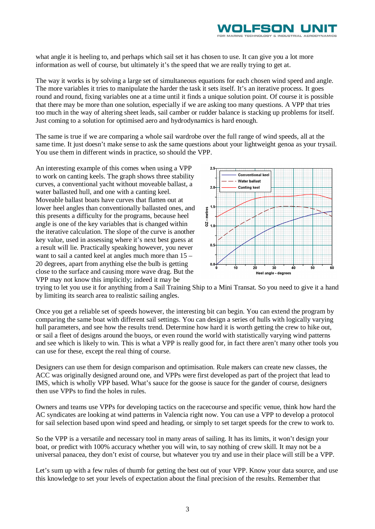

what angle it is heeling to, and perhaps which sail set it has chosen to use. It can give you a lot more information as well of course, but ultimately it's the speed that we are really trying to get at.

The way it works is by solving a large set of simultaneous equations for each chosen wind speed and angle. The more variables it tries to manipulate the harder the task it sets itself. It's an iterative process. It goes round and round, fixing variables one at a time until it finds a unique solution point. Of course it is possible that there may be more than one solution, especially if we are asking too many questions. A VPP that tries too much in the way of altering sheet leads, sail camber or rudder balance is stacking up problems for itself. Just coming to a solution for optimised aero and hydrodynamics is hard enough.

The same is true if we are comparing a whole sail wardrobe over the full range of wind speeds, all at the same time. It just doesn't make sense to ask the same questions about your lightweight genoa as your trysail. You use them in different winds in practice, so should the VPP.

An interesting example of this comes when using a VPP to work on canting keels. The graph shows three stability curves, a conventional yacht without moveable ballast, a water ballasted hull, and one with a canting keel. Moveable ballast boats have curves that flatten out at lower heel angles than conventionally ballasted ones, and this presents a difficulty for the programs, because heel angle is one of the key variables that is changed within the iterative calculation. The slope of the curve is another key value, used in assessing where it's next best guess at a result will lie. Practically speaking however, you never want to sail a canted keel at angles much more than 15 – 20 degrees, apart from anything else the bulb is getting close to the surface and causing more wave drag. But the VPP may not know this implicitly; indeed it may be



trying to let you use it for anything from a Sail Training Ship to a Mini Transat. So you need to give it a hand by limiting its search area to realistic sailing angles.

Once you get a reliable set of speeds however, the interesting bit can begin. You can extend the program by comparing the same boat with different sail settings. You can design a series of hulls with logically varying hull parameters, and see how the results trend. Determine how hard it is worth getting the crew to hike out, or sail a fleet of designs around the buoys, or even round the world with statistically varying wind patterns and see which is likely to win. This is what a VPP is really good for, in fact there aren't many other tools you can use for these, except the real thing of course.

Designers can use them for design comparison and optimisation. Rule makers can create new classes, the ACC was originally designed around one, and VPPs were first developed as part of the project that lead to IMS, which is wholly VPP based. What's sauce for the goose is sauce for the gander of course, designers then use VPPs to find the holes in rules.

Owners and teams use VPPs for developing tactics on the racecourse and specific venue, think how hard the AC syndicates are looking at wind patterns in Valencia right now. You can use a VPP to develop a protocol for sail selection based upon wind speed and heading, or simply to set target speeds for the crew to work to.

So the VPP is a versatile and necessary tool in many areas of sailing. It has its limits, it won't design your boat, or predict with 100% accuracy whether you will win, to say nothing of crew skill. It may not be a universal panacea, they don't exist of course, but whatever you try and use in their place will still be a VPP.

Let's sum up with a few rules of thumb for getting the best out of your VPP. Know your data source, and use this knowledge to set your levels of expectation about the final precision of the results. Remember that